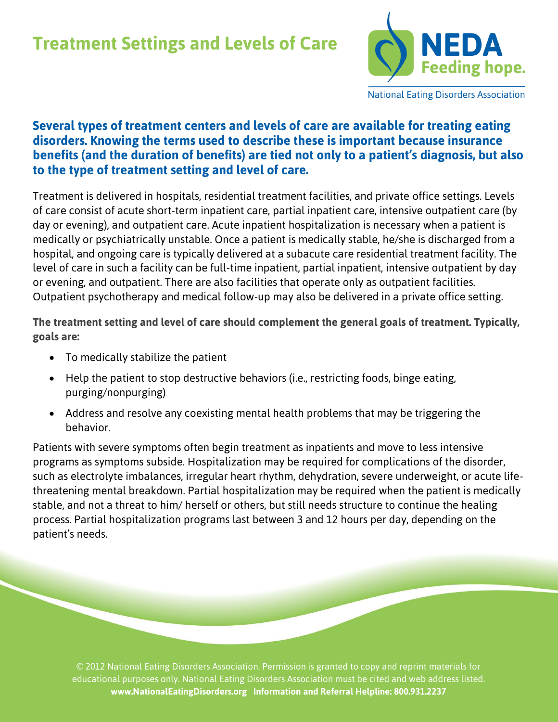# **Treatment Settings and Levels of Care**



**National Eating Disorders Association** 

## **Several types of treatment centers and levels of care are available for treating eating disorders. Knowing the terms used to describe these is important because insurance benefits (and the duration of benefits) are tied not only to a patient's diagnosis, but also to the type of treatment setting and level of care.**

Treatment is delivered in hospitals, residential treatment facilities, and private office settings. Levels of care consist of acute short-term inpatient care, partial inpatient care, intensive outpatient care (by day or evening), and outpatient care. Acute inpatient hospitalization is necessary when a patient is medically or psychiatrically unstable. Once a patient is medically stable, he/she is discharged from a hospital, and ongoing care is typically delivered at a subacute care residential treatment facility. The level of care in such a facility can be full-time inpatient, partial inpatient, intensive outpatient by day or evening, and outpatient. There are also facilities that operate only as outpatient facilities. Outpatient psychotherapy and medical follow-up may also be delivered in a private office setting.

**The treatment setting and level of care should complement the general goals of treatment. Typically, goals are:** 

- To medically stabilize the patient
- Help the patient to stop destructive behaviors (i.e., restricting foods, binge eating, purging/nonpurging)
- Address and resolve any coexisting mental health problems that may be triggering the behavior.

Patients with severe symptoms often begin treatment as inpatients and move to less intensive programs as symptoms subside. Hospitalization may be required for complications of the disorder, such as electrolyte imbalances, irregular heart rhythm, dehydration, severe underweight, or acute lifethreatening mental breakdown. Partial hospitalization may be required when the patient is medically stable, and not a threat to him/ herself or others, but still needs structure to continue the healing process. Partial hospitalization programs last between 3 and 12 hours per day, depending on the patient's needs.

© 2012 National Eating Disorders Association. Permission is granted to copy and reprint materials for educational purposes only. National Eating Disorders Association must be cited and web address listed. **www.NationalEatingDisorders.org Information and Referral Helpline: 800.931.2237**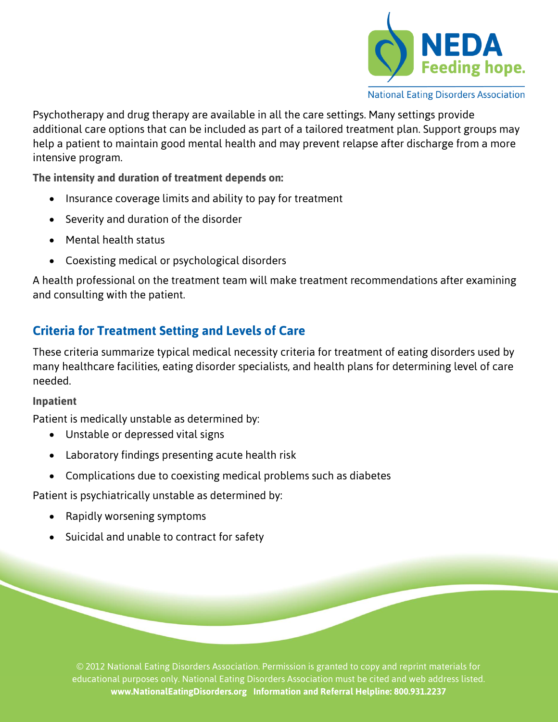

**National Eating Disorders Association** 

Psychotherapy and drug therapy are available in all the care settings. Many settings provide additional care options that can be included as part of a tailored treatment plan. Support groups may help a patient to maintain good mental health and may prevent relapse after discharge from a more intensive program.

**The intensity and duration of treatment depends on:** 

- Insurance coverage limits and ability to pay for treatment
- Severity and duration of the disorder
- Mental health status
- Coexisting medical or psychological disorders

A health professional on the treatment team will make treatment recommendations after examining and consulting with the patient.

# **Criteria for Treatment Setting and Levels of Care**

These criteria summarize typical medical necessity criteria for treatment of eating disorders used by many healthcare facilities, eating disorder specialists, and health plans for determining level of care needed.

#### **Inpatient**

Patient is medically unstable as determined by:

- Unstable or depressed vital signs
- Laboratory findings presenting acute health risk
- Complications due to coexisting medical problems such as diabetes

Patient is psychiatrically unstable as determined by:

- Rapidly worsening symptoms
- Suicidal and unable to contract for safety

© 2012 National Eating Disorders Association. Permission is granted to copy and reprint materials for educational purposes only. National Eating Disorders Association must be cited and web address listed. **www.NationalEatingDisorders.org Information and Referral Helpline: 800.931.2237**